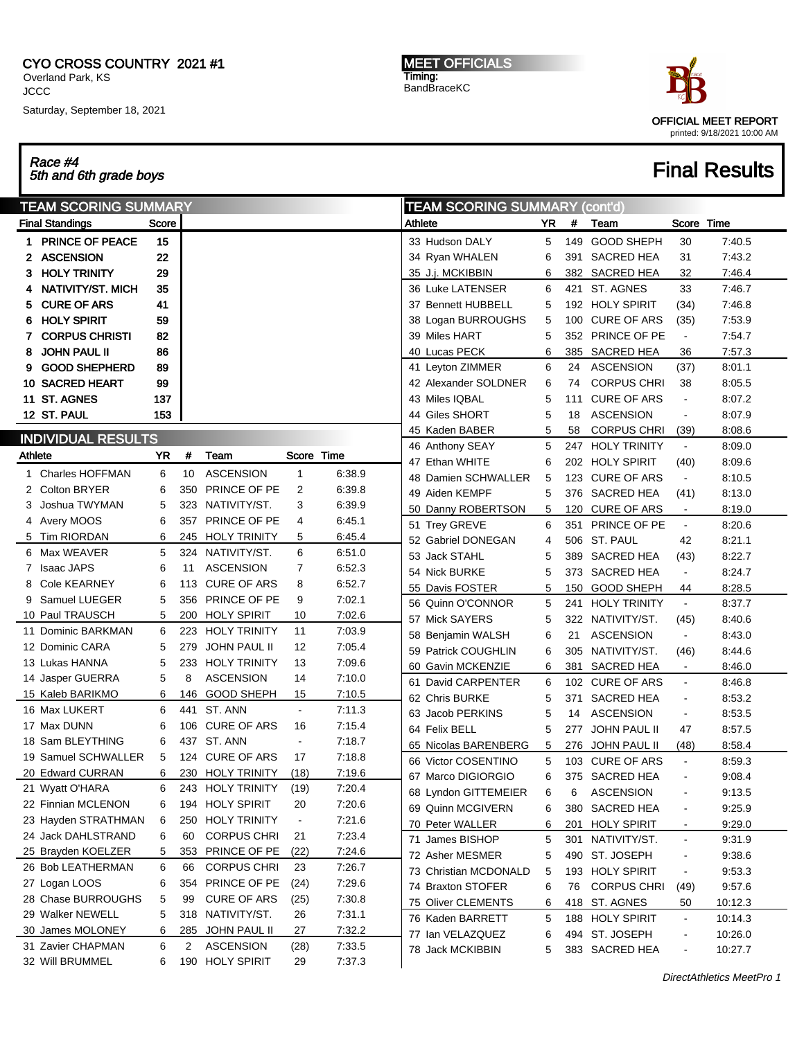## CYO CROSS COUNTRY 2021 #1

Overland Park, KS **JCCC** 

Saturday, September 18, 2021

Race #4 5th and 6th grade boys Final Results

MEET OFFICIALS Timing: BandBraceKC



|         | <b>TEAM SCORING SUMMARY</b> |           |             |                    |                          | <b>TEAM SCORING SUMMARY (cont'd)</b> |                       |     |     |                     |                          |         |
|---------|-----------------------------|-----------|-------------|--------------------|--------------------------|--------------------------------------|-----------------------|-----|-----|---------------------|--------------------------|---------|
|         | <b>Final Standings</b>      | Score     |             |                    |                          |                                      | Athlete               | YR. | #   | Team                | Score Time               |         |
|         | 1 PRINCE OF PEACE           | 15        |             |                    |                          |                                      | 33 Hudson DALY        | 5   | 149 | <b>GOOD SHEPH</b>   | 30                       | 7:40.5  |
|         | 2 ASCENSION                 | 22        |             |                    |                          |                                      | 34 Ryan WHALEN        | 6   | 391 | SACRED HEA          | 31                       | 7:43.2  |
| З.      | <b>HOLY TRINITY</b>         | 29        |             |                    |                          |                                      | 35 J.j. MCKIBBIN      | 6   |     | 382 SACRED HEA      | 32                       | 7:46.4  |
| 4       | NATIVITY/ST. MICH           | 35        |             |                    |                          |                                      | 36 Luke LATENSER      | 6   |     | 421 ST. AGNES       | 33                       | 7:46.7  |
| 5       | <b>CURE OF ARS</b>          | 41        |             |                    |                          |                                      | 37 Bennett HUBBELL    | 5   |     | 192 HOLY SPIRIT     | (34)                     | 7:46.8  |
| 6       | <b>HOLY SPIRIT</b>          | 59        |             |                    |                          |                                      | 38 Logan BURROUGHS    | 5   | 100 | <b>CURE OF ARS</b>  | (35)                     | 7:53.9  |
|         | <b>CORPUS CHRISTI</b>       | 82        |             |                    |                          |                                      | 39 Miles HART         | 5   |     | 352 PRINCE OF PE    | $\blacksquare$           | 7:54.7  |
| 8       | <b>JOHN PAUL II</b>         | 86        |             |                    |                          |                                      | 40 Lucas PECK         | 6   | 385 | SACRED HEA          | 36                       | 7:57.3  |
| 9       | <b>GOOD SHEPHERD</b>        | 89        |             |                    |                          |                                      | 41 Leyton ZIMMER      | 6   | 24  | <b>ASCENSION</b>    | (37)                     | 8:01.1  |
|         | <b>10 SACRED HEART</b>      | 99        |             |                    |                          |                                      | 42 Alexander SOLDNER  | 6   | 74  | <b>CORPUS CHRI</b>  | 38                       | 8:05.5  |
|         | 11 ST. AGNES                | 137       |             |                    |                          |                                      | 43 Miles IQBAL        | 5   | 111 | <b>CURE OF ARS</b>  | $\blacksquare$           | 8:07.2  |
|         | 12 ST. PAUL                 | 153       |             |                    |                          |                                      | 44 Giles SHORT        | 5   | 18  | <b>ASCENSION</b>    | $\blacksquare$           | 8:07.9  |
|         |                             |           |             |                    |                          |                                      | 45 Kaden BABER        | 5   | 58  | <b>CORPUS CHRI</b>  | (39)                     | 8:08.6  |
|         | <b>INDIVIDUAL RESULTS</b>   |           |             |                    |                          |                                      | 46 Anthony SEAY       | 5   |     | 247 HOLY TRINITY    | $\blacksquare$           | 8:09.0  |
| Athlete |                             | <b>YR</b> | #           | Team               | Score Time               |                                      | 47 Ethan WHITE        | 6   |     | 202 HOLY SPIRIT     | (40)                     | 8:09.6  |
|         | 1 Charles HOFFMAN           | 6         | 10          | <b>ASCENSION</b>   | 1                        | 6:38.9                               | 48 Damien SCHWALLER   | 5   |     | 123 CURE OF ARS     | $\blacksquare$           | 8:10.5  |
|         | 2 Colton BRYER              | 6         | 350         | PRINCE OF PE       | 2                        | 6.39.8                               | 49 Aiden KEMPF        | 5   |     | 376 SACRED HEA      | (41)                     | 8:13.0  |
| З       | Joshua TWYMAN               | 5         |             | 323 NATIVITY/ST.   | 3                        | 6.39.9                               | 50 Danny ROBERTSON    | 5   | 120 | <b>CURE OF ARS</b>  | $\blacksquare$           | 8:19.0  |
|         | 4 Avery MOOS                | 6         | 357         | PRINCE OF PE       | 4                        | 6.45.1                               | 51 Trey GREVE         | 6   |     | 351 PRINCE OF PE    | $\blacksquare$           | 8:20.6  |
|         | 5 Tim RIORDAN               | 6         |             | 245 HOLY TRINITY   | 5                        | 6:45.4                               | 52 Gabriel DONEGAN    | 4   |     | 506 ST. PAUL        | 42                       | 8.21.1  |
|         | 6 Max WEAVER                | 5         |             | 324 NATIVITY/ST.   | 6                        | 6.51.0                               | 53 Jack STAHL         | 5   |     | 389 SACRED HEA      | (43)                     | 8:22.7  |
|         | 7 Isaac JAPS                | 6         | 11          | <b>ASCENSION</b>   | 7                        | 6:52.3                               | 54 Nick BURKE         | 5   |     | 373 SACRED HEA      | $\blacksquare$           | 8:24.7  |
| 8       | Cole KEARNEY                | 6         |             | 113 CURE OF ARS    | 8                        | 6:52.7                               | 55 Davis FOSTER       | 5   | 150 | GOOD SHEPH          | 44                       | 8:28.5  |
| 9       | Samuel LUEGER               | 5         | 356         | PRINCE OF PE       | 9                        | 7:02.1                               | 56 Quinn O'CONNOR     | 5   | 241 | <b>HOLY TRINITY</b> | $\blacksquare$           | 8:37.7  |
|         | 10 Paul TRAUSCH             | 5         |             | 200 HOLY SPIRIT    | 10                       | 7:02.6                               | 57 Mick SAYERS        | 5   |     | 322 NATIVITY/ST.    | (45)                     | 8:40.6  |
|         | 11 Dominic BARKMAN          | 6         |             | 223 HOLY TRINITY   | 11                       | 7:03.9                               | 58 Benjamin WALSH     | 6   | 21  | <b>ASCENSION</b>    | $\blacksquare$           | 8:43.0  |
|         | 12 Dominic CARA             | 5         | 279         | JOHN PAUL II       | 12                       | 7:05.4                               | 59 Patrick COUGHLIN   | 6   |     | 305 NATIVITY/ST.    | (46)                     | 8:44.6  |
|         | 13 Lukas HANNA              | 5         |             | 233 HOLY TRINITY   | 13                       | 7:09.6                               | 60 Gavin MCKENZIE     | 6   | 381 | <b>SACRED HEA</b>   | $\blacksquare$           | 8:46.0  |
|         | 14 Jasper GUERRA            | 5         | 8           | <b>ASCENSION</b>   | 14                       | 7:10.0                               | 61 David CARPENTER    | 6   |     | 102 CURE OF ARS     | $\blacksquare$           | 8:46.8  |
|         | 15 Kaleb BARIKMO            | 6         | 146         | <b>GOOD SHEPH</b>  | 15                       | 7:10.5                               | 62 Chris BURKE        | 5   | 371 | SACRED HEA          | $\blacksquare$           | 8:53.2  |
|         | 16 Max LUKERT               | 6         | 441         | ST. ANN            | $\blacksquare$           | 7:11.3                               | 63 Jacob PERKINS      | 5   | 14  | <b>ASCENSION</b>    | $\blacksquare$           | 8:53.5  |
|         | 17 Max DUNN                 | 6         |             | 106 CURE OF ARS    | 16                       | 7:15.4                               | 64 Felix BELL         | 5   | 277 | <b>JOHN PAUL II</b> | 47                       | 8:57.5  |
|         | 18 Sam BLEYTHING            | 6         |             | 437 ST. ANN        | $\blacksquare$           | 7:18.7                               | 65 Nicolas BARENBERG  | 5   | 276 | JOHN PAUL II        | (48)                     | 8:58.4  |
|         | 19 Samuel SCHWALLER         | 5         |             | 124 CURE OF ARS    | 17                       | 7:18.8                               | 66 Victor COSENTINO   | 5   |     | 103 CURE OF ARS     | $\Box$                   | 8:59.3  |
|         | 20 Edward CURRAN            | 6         |             | 230 HOLY TRINITY   | (18)                     | 7:19.6                               | 67 Marco DIGIORGIO    | 6   |     | 375 SACRED HEA      |                          | 9:08.4  |
|         | 21 Wyatt O'HARA             | 6         |             | 243 HOLY TRINITY   | (19)                     | 7:20.4                               | 68 Lyndon GITTEMEIER  | 6   | 6   | <b>ASCENSION</b>    | $\overline{\phantom{a}}$ | 9:13.5  |
|         | 22 Finnian MCLENON          | 6         |             | 194 HOLY SPIRIT    | 20                       | 7:20.6                               | 69 Quinn MCGIVERN     | 6   |     | 380 SACRED HEA      | ۰                        | 9:25.9  |
|         | 23 Hayden STRATHMAN         | 6         |             | 250 HOLY TRINITY   | $\overline{\phantom{a}}$ | 7:21.6                               | 70 Peter WALLER       | 6   |     | 201 HOLY SPIRIT     | $\blacksquare$           | 9:29.0  |
|         | 24 Jack DAHLSTRAND          | 6         | 60          | <b>CORPUS CHRI</b> | 21                       | 7:23.4                               | 71 James BISHOP       | 5   |     | 301 NATIVITY/ST.    | $\blacksquare$           | 9:31.9  |
|         | 25 Brayden KOELZER          | 5         |             | 353 PRINCE OF PE   | (22)                     | 7:24.6                               | 72 Asher MESMER       | 5   |     | 490 ST. JOSEPH      | $\blacksquare$           | 9:38.6  |
|         | 26 Bob LEATHERMAN           | 6         | 66          | <b>CORPUS CHRI</b> | 23                       | 7:26.7                               | 73 Christian MCDONALD | 5   |     | 193 HOLY SPIRIT     | $\blacksquare$           | 9:53.3  |
|         | 27 Logan LOOS               | 6         | 354         | PRINCE OF PE       | (24)                     | 7:29.6                               | 74 Braxton STOFER     | 6   | 76  | <b>CORPUS CHRI</b>  | (49)                     | 9:57.6  |
|         | 28 Chase BURROUGHS          | 5         | 99          | <b>CURE OF ARS</b> | (25)                     | 7:30.8                               | 75 Oliver CLEMENTS    | 6   |     | 418 ST. AGNES       | 50                       | 10:12.3 |
|         | 29 Walker NEWELL            | 5         |             | 318 NATIVITY/ST.   | 26                       | 7:31.1                               | 76 Kaden BARRETT      | 5   |     | 188 HOLY SPIRIT     | $\blacksquare$           | 10:14.3 |
|         | 30 James MOLONEY            | 6         |             | 285 JOHN PAUL II   | 27                       | 7:32.2                               | 77 Ian VELAZQUEZ      | 6   |     | 494 ST. JOSEPH      | $\blacksquare$           | 10:26.0 |
|         | 31 Zavier CHAPMAN           | 6         | $2^{\circ}$ | <b>ASCENSION</b>   | (28)                     | 7:33.5                               | 78 Jack MCKIBBIN      | 5   |     | 383 SACRED HEA      | $\frac{1}{2}$            | 10:27.7 |
|         | 32 Will BRUMMEL             | 6         |             | 190 HOLY SPIRIT    | 29                       | 7:37.3                               |                       |     |     |                     |                          |         |